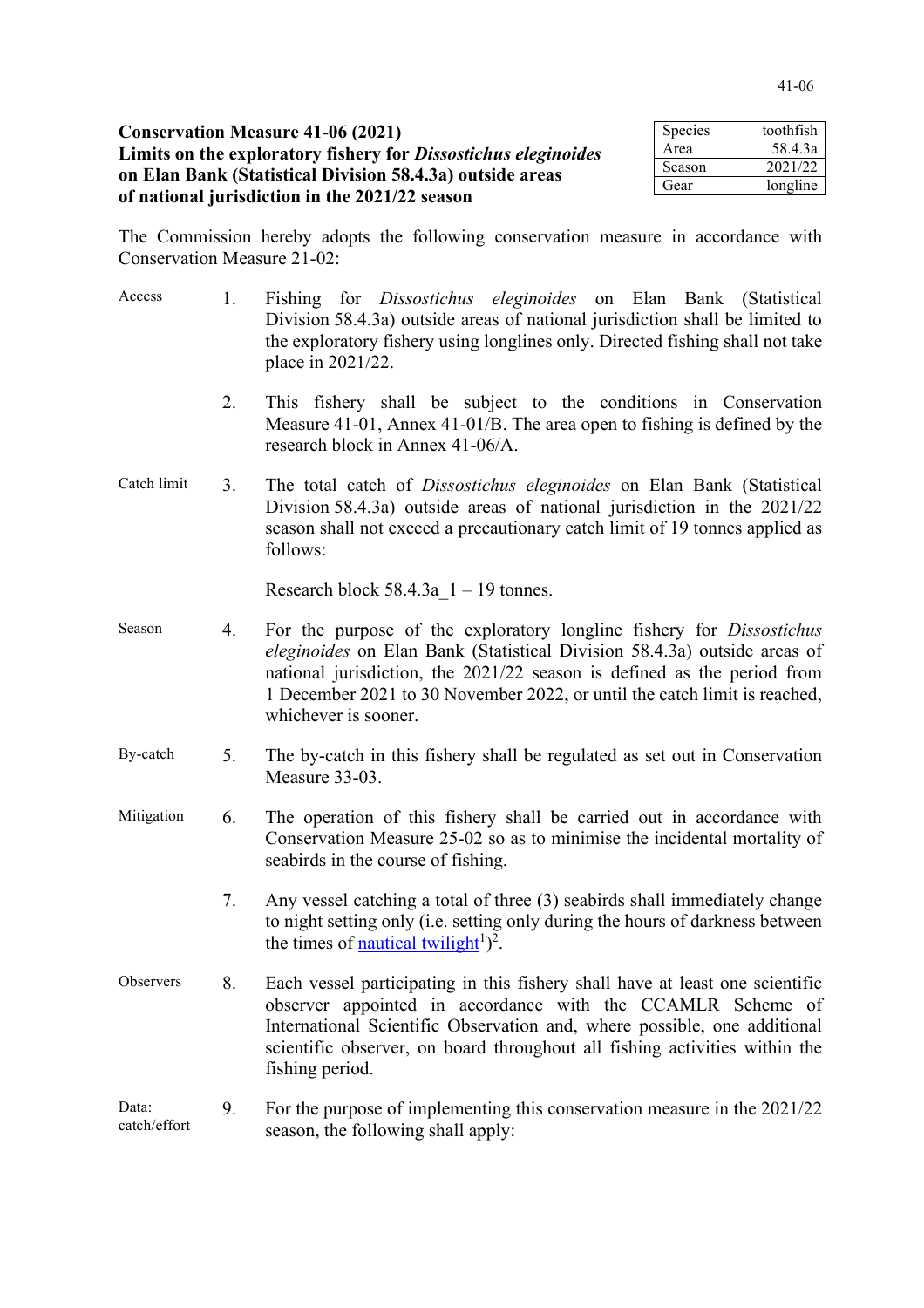| <b>Conservation Measure 41-06 (2021)</b>                              | Species | toothfish |
|-----------------------------------------------------------------------|---------|-----------|
| Limits on the exploratory fishery for <i>Dissostichus eleginoides</i> | Area    | 58.4.3a   |
| on Elan Bank (Statistical Division 58.4.3a) outside areas             | Season  | 2021/22   |
|                                                                       | Gear    | longline  |
| of national jurisdiction in the 2021/22 season                        |         |           |

The Commission hereby adopts the following conservation measure in accordance with Conservation Measure 21-02:

| Access                | 1. | Fishing for <i>Dissostichus eleginoides</i> on Elan Bank (Statistical<br>Division 58.4.3a) outside areas of national jurisdiction shall be limited to<br>the exploratory fishery using longlines only. Directed fishing shall not take<br>place in 2021/22.                                                                             |  |
|-----------------------|----|-----------------------------------------------------------------------------------------------------------------------------------------------------------------------------------------------------------------------------------------------------------------------------------------------------------------------------------------|--|
|                       | 2. | This fishery shall be subject to the conditions in Conservation<br>Measure 41-01, Annex 41-01/B. The area open to fishing is defined by the<br>research block in Annex 41-06/A.                                                                                                                                                         |  |
| Catch limit           | 3. | The total catch of <i>Dissostichus eleginoides</i> on Elan Bank (Statistical<br>Division 58.4.3a) outside areas of national jurisdiction in the 2021/22<br>season shall not exceed a precautionary catch limit of 19 tonnes applied as<br>follows:                                                                                      |  |
|                       |    | Research block $58.4.3a$ 1 – 19 tonnes.                                                                                                                                                                                                                                                                                                 |  |
| Season                | 4. | For the purpose of the exploratory longline fishery for <i>Dissostichus</i><br>eleginoides on Elan Bank (Statistical Division 58.4.3a) outside areas of<br>national jurisdiction, the 2021/22 season is defined as the period from<br>1 December 2021 to 30 November 2022, or until the catch limit is reached,<br>whichever is sooner. |  |
| By-catch              | 5. | The by-catch in this fishery shall be regulated as set out in Conservation<br>Measure 33-03.                                                                                                                                                                                                                                            |  |
| Mitigation            | 6. | The operation of this fishery shall be carried out in accordance with<br>Conservation Measure 25-02 so as to minimise the incidental mortality of<br>seabirds in the course of fishing.                                                                                                                                                 |  |
|                       | 7. | Any vessel catching a total of three (3) seabirds shall immediately change<br>to night setting only (i.e. setting only during the hours of darkness between<br>the times of <u>nautical twilight</u> <sup>1</sup> $)^2$ .                                                                                                               |  |
| Observers             | 8. | Each vessel participating in this fishery shall have at least one scientific<br>observer appointed in accordance with the CCAMLR Scheme of<br>International Scientific Observation and, where possible, one additional<br>scientific observer, on board throughout all fishing activities within the<br>fishing period.                 |  |
| Data:<br>catch/effort | 9. | For the purpose of implementing this conservation measure in the 2021/22<br>season, the following shall apply:                                                                                                                                                                                                                          |  |